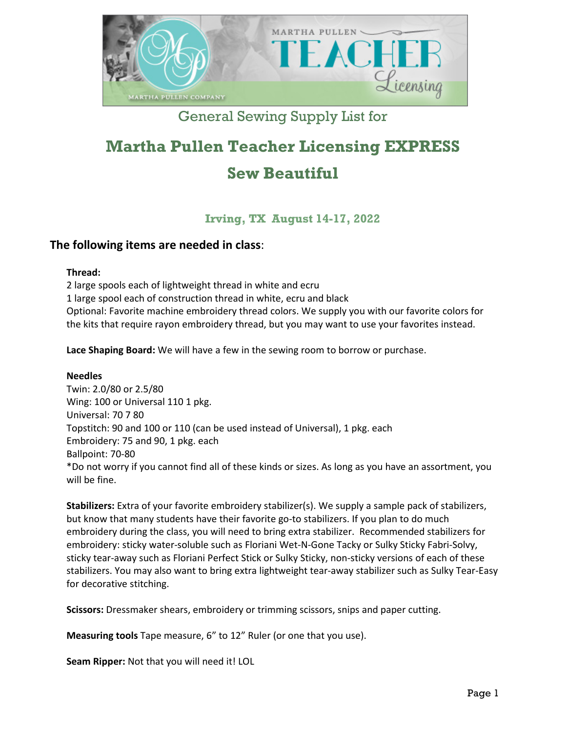

# General Sewing Supply List for

# **Martha Pullen Teacher Licensing EXPRESS Sew Beautiful**

**Irving, TX August 14-17, 2022** 

## **The following items are needed in class**:

#### **Thread:**

2 large spools each of lightweight thread in white and ecru 1 large spool each of construction thread in white, ecru and black Optional: Favorite machine embroidery thread colors. We supply you with our favorite colors for the kits that require rayon embroidery thread, but you may want to use your favorites instead.

**Lace Shaping Board:** We will have a few in the sewing room to borrow or purchase.

#### **Needles**

Twin: 2.0/80 or 2.5/80 Wing: 100 or Universal 110 1 pkg. Universal: 70 7 80 Topstitch: 90 and 100 or 110 (can be used instead of Universal), 1 pkg. each Embroidery: 75 and 90, 1 pkg. each Ballpoint: 70-80 \*Do not worry if you cannot find all of these kinds or sizes. As long as you have an assortment, you will be fine.

**Stabilizers:** Extra of your favorite embroidery stabilizer(s). We supply a sample pack of stabilizers, but know that many students have their favorite go-to stabilizers. If you plan to do much embroidery during the class, you will need to bring extra stabilizer. Recommended stabilizers for embroidery: sticky water-soluble such as Floriani Wet-N-Gone Tacky or Sulky Sticky Fabri-Solvy, sticky tear-away such as Floriani Perfect Stick or Sulky Sticky, non-sticky versions of each of these stabilizers. You may also want to bring extra lightweight tear-away stabilizer such as Sulky Tear-Easy for decorative stitching.

**Scissors:** Dressmaker shears, embroidery or trimming scissors, snips and paper cutting.

**Measuring tools** Tape measure, 6" to 12" Ruler (or one that you use).

**Seam Ripper:** Not that you will need it! LOL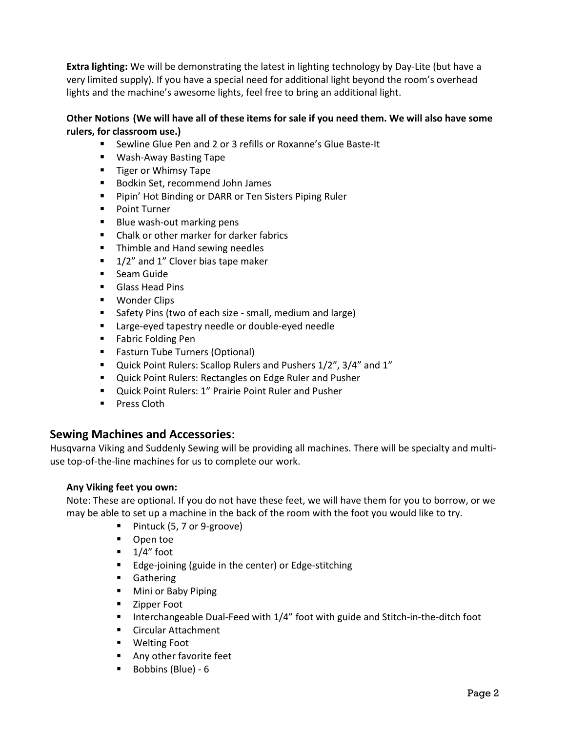**Extra lighting:** We will be demonstrating the latest in lighting technology by Day-Lite (but have a very limited supply). If you have a special need for additional light beyond the room's overhead lights and the machine's awesome lights, feel free to bring an additional light.

#### **Other Notions (We will have all of these items for sale if you need them. We will also have some rulers, for classroom use.)**

- Sewline Glue Pen and 2 or 3 refills or Roxanne's Glue Baste-It
- Wash-Away Basting Tape
- **Tiger or Whimsy Tape**
- **Bodkin Set, recommend John James**
- **Pipin' Hot Binding or DARR or Ten Sisters Piping Ruler**
- **Point Turner**
- **Blue wash-out marking pens**
- Chalk or other marker for darker fabrics
- **Thimble and Hand sewing needles**
- $\blacksquare$  1/2" and 1" Clover bias tape maker
- **Seam Guide**
- **Glass Head Pins**
- **Wonder Clips**
- **Safety Pins (two of each size small, medium and large)**
- **EXEC** Large-eyed tapestry needle or double-eyed needle
- **Fabric Folding Pen**
- **Fasturn Tube Turners (Optional)**
- Quick Point Rulers: Scallop Rulers and Pushers 1/2", 3/4" and 1"
- Quick Point Rulers: Rectangles on Edge Ruler and Pusher
- Quick Point Rulers: 1" Prairie Point Ruler and Pusher
- **Press Cloth**

### **Sewing Machines and Accessories**:

Husqvarna Viking and Suddenly Sewing will be providing all machines. There will be specialty and multiuse top-of-the-line machines for us to complete our work.

#### **Any Viking feet you own:**

Note: These are optional. If you do not have these feet, we will have them for you to borrow, or we may be able to set up a machine in the back of the room with the foot you would like to try.

- Pintuck (5, 7 or 9-groove)
- **D** Open toe
- $\blacksquare$  1/4" foot
- **Edge-joining (guide in the center) or Edge-stitching**
- **Gathering**
- **Mini or Baby Piping**
- **EXA** Zipper Foot
- **Interchangeable Dual-Feed with 1/4" foot with guide and Stitch-in-the-ditch foot**
- **Circular Attachment**
- Welting Foot
- **Any other favorite feet**
- Bobbins (Blue) 6